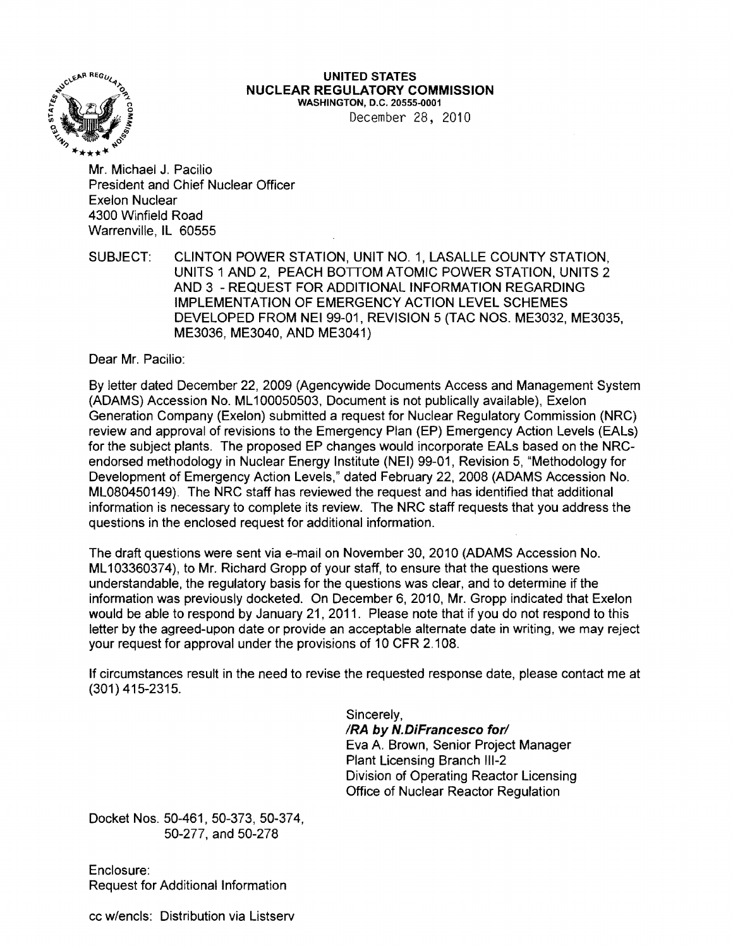

#### UNITED STATES NUCLEAR REGULATORY COMMISSION WASHINGTON, D.C. 20555-0001

December 28, 2010

Mr. Michael J. Pacilio President and Chief Nuclear Officer Exelon Nuclear 4300 Winfield Road Warrenville, IL 60555

SUBJECT: CLINTON POWER STATION, UNIT NO.1, LASALLE COUNTY STATION, UNITS 1 AND 2, PEACH BOTTOM ATOMIC POWER STATION, UNITS 2 AND 3 - REQUEST FOR ADDITIONAL INFORMATION REGARDING IMPLEMENTATION OF EMERGENCY ACTION LEVEL SCHEMES DEVELOPED FROM NEI 99-01, REVISION 5 (TAC NOS. ME3032, ME3035, ME3036, ME3040, AND ME3041)

Dear Mr. Pacilio:

By letter dated December 22,2009 (Agencywide Documents Access and Management System (ADAMS) Accession No. ML 100050503, Document is not publically available), Exelon Generation Company (Exelon) submitted a request for Nuclear Regulatory Commission (NRC) review and approval of revisions to the Emergency Plan (EP) Emergency Action Levels (EALs) for the subject plants. The proposed EP changes would incorporate EALs based on the NRCendorsed methodology in Nuclear Energy Institute (NEI) 99-01, Revision 5, "Methodology for Development of Emergency Action Levels," dated February 22,2008 (ADAMS Accession No. ML080450149). The NRC staff has reviewed the request and has identified that additional information is necessary to complete its review. The NRC staff requests that you address the questions in the enclosed request for additional information.

The draft questions were sent via e-mail on November 30,2010 (ADAMS Accession No. ML 103360374), to Mr. Richard Gropp of your staff, to ensure that the questions were understandable, the regulatory basis for the questions was clear, and to determine if the information was previously docketed. On December 6, 2010, Mr. Gropp indicated that Exelon would be able to respond by January 21, 2011. Please note that if you do not respond to this letter by the agreed-upon date or provide an acceptable alternate date in writing, we may reject your request for approval under the provisions of 10 CFR 2.108.

If circumstances result in the need to revise the requested response date, please contact me at (301) 415-2315.

> Sincerely, *IRA by* N.DiFrancesco fori Eva A. Brown, Senior Project Manager Plant Licensing Branch III-2 Division of Operating Reactor Licensing Office of Nuclear Reactor Regulation

Docket Nos. 50-461, 50-373, 50-374, 50-277, and 50-278

Enclosure: Request for Additional Information

cc w/encls: Distribution via Listserv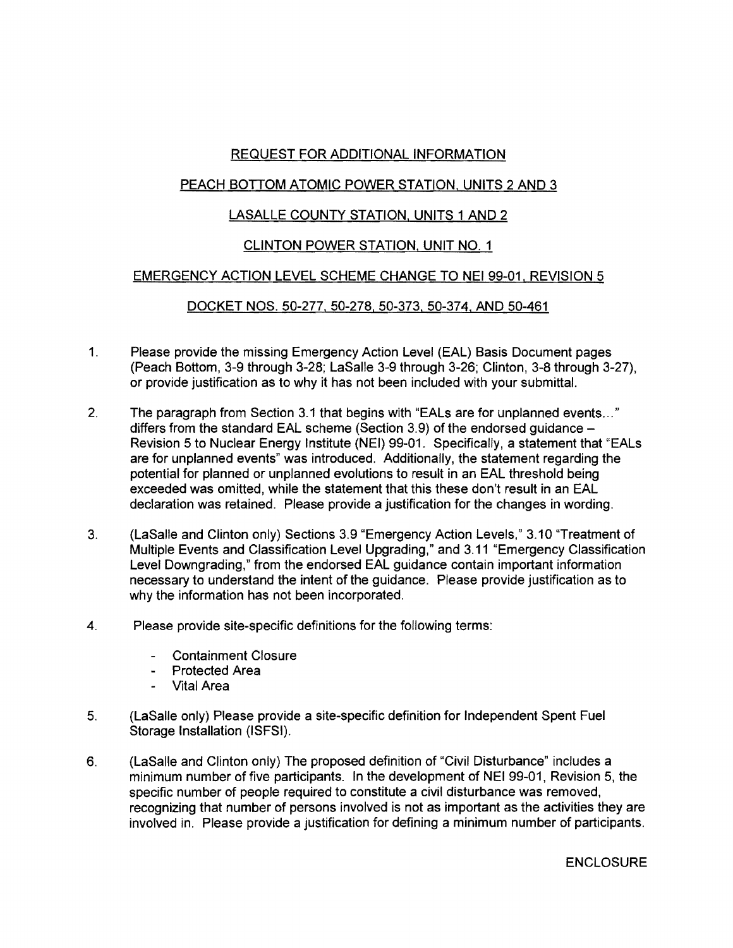## REQUEST FOR ADDITIONAL INFORMATION

# PEACH BOTTOM ATOMIC POWER STATION. UNITS 2 AND 3

## LASALLE COUNTY STATION. UNITS 1 AND 2

## CLINTON POWER STATION. UNIT NO.1

## EMERGENCY ACTION LEVEL SCHEME CHANGE TO NEI 99-01, REVISION 5

## DOCKET NOS. 50-277, 50-278, 50-373. 50-374. AND 50-461

- 1. Please provide the missing Emergency Action Level (EAL) Basis Document pages (Peach Bottom, 3-9 through 3-28; LaSalle 3-9 through 3-26; Clinton, 3-8 through 3-27), or provide justification as to why it has not been included with your submittal.
- 2. The paragraph from Section 3.1 that begins with "EALs are for unplanned events..." differs from the standard EAL scheme (Section 3.9) of the endorsed guidance -Revision 5 to Nuclear Energy Institute (NEI) 99-01. Specifically, a statement that "EALs are for unplanned events" was introduced. Additionally, the statement regarding the potential for planned or unplanned evolutions to result in an EAL threshold being exceeded was omitted, while the statement that this these don't result in an EAL declaration was retained. Please provide a justification for the changes in wording.
- 3. (LaSalle and Clinton only) Sections 3.9 "Emergency Action Levels," 3.10 'Treatment of Multiple Events and Classification Level Upgrading," and 3.11 "Emergency Classification Level Downgrading," from the endorsed EAL guidance contain important information necessary to understand the intent of the guidance. Please provide justification as to why the information has not been incorporated.
- 4. Please provide site-specific definitions for the following terms:
	- Containment Closure
	- Protected Area
	- Vital Area  $\ddot{\phantom{1}}$
- 5. (LaSalle only) Please provide a site-specific definition for Independent Spent Fuel Storage Installation (ISFSI).
- 6. (LaSalle and Clinton only) The proposed definition of "Civil Disturbance" includes a minimum number of five participants. In the development of NEI 99-01, Revision 5, the specific number of people required to constitute a civil disturbance was removed, recognizing that number of persons involved is not as important as the activities they are involved in. Please provide a justification for defining a minimum number of participants.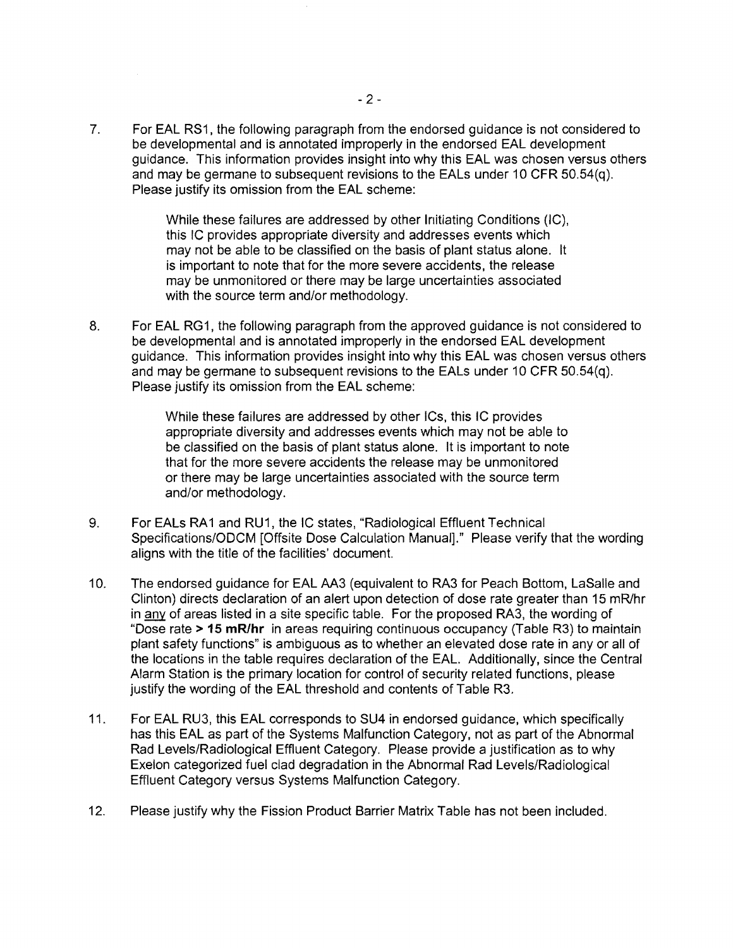7. For EAL RS1, the following paragraph from the endorsed guidance is not considered to be developmental and is annotated improperly in the endorsed EAL development guidance. This information provides insight into why this EAL was chosen versus others and may be germane to subsequent revisions to the EALs under 10 CFR 50.54(q). Please justify its omission from the EAL scheme:

> While these failures are addressed by other Initiating Conditions (IC), this IC provides appropriate diversity and addresses events which may not be able to be classified on the basis of plant status alone. It is important to note that for the more severe accidents, the release may be unmonitored or there may be large uncertainties associated with the source term and/or methodology.

8. For EAL RG1, the following paragraph from the approved guidance is not considered to be developmental and is annotated improperly in the endorsed EAL development guidance. This information provides insight into why this EAL was chosen versus others and may be germane to subsequent revisions to the EALs under 10 CFR 50.54(q). Please justify its omission from the EAL scheme:

> While these failures are addressed by other ICs, this IC provides appropriate diversity and addresses events which may not be able to be classified on the basis of plant status alone. It is important to note that for the more severe accidents the release may be unmonitored or there may be large uncertainties associated with the source term and/or methodology.

- 9. For EALs RA1 and RU1, the IC states, "Radiological Effluent Technical Specifications/ODCM [Offsite Dose Calculation Manual]." Please verify that the wording aligns with the title of the facilities' document.
- 10. The endorsed guidance for EAL AA3 (equivalent to RA3 for Peach Bottom, LaSalle and Clinton) directs declaration of an alert upon detection of dose rate greater than 15 mRlhr in any of areas listed in a site specific table. For the proposed RA3, the wording of "Dose rate> **15 mRlhr** in areas requiring continuous occupancy (Table R3) to maintain plant safety functions" is ambiguous as to whether an elevated dose rate in any or all of the locations in the table requires declaration of the EAL. Additionally. since the Central Alarm Station is the primary location for control of security related functions, please justify the wording of the EAL threshold and contents of Table R3.
- 11. For EAL RU3, this EAL corresponds to SU4 in endorsed guidance, which specifically has this EAL as part of the Systems Malfunction Category, not as part of the Abnormal Rad Levels/Radiological Effluent Category. Please provide a justification as to why Exelon categorized fuel clad degradation in the Abnormal Rad Levels/Radiological Effluent Category versus Systems Malfunction Category.
- 12. Please justify why the Fission Product Barrier Matrix Table has not been included.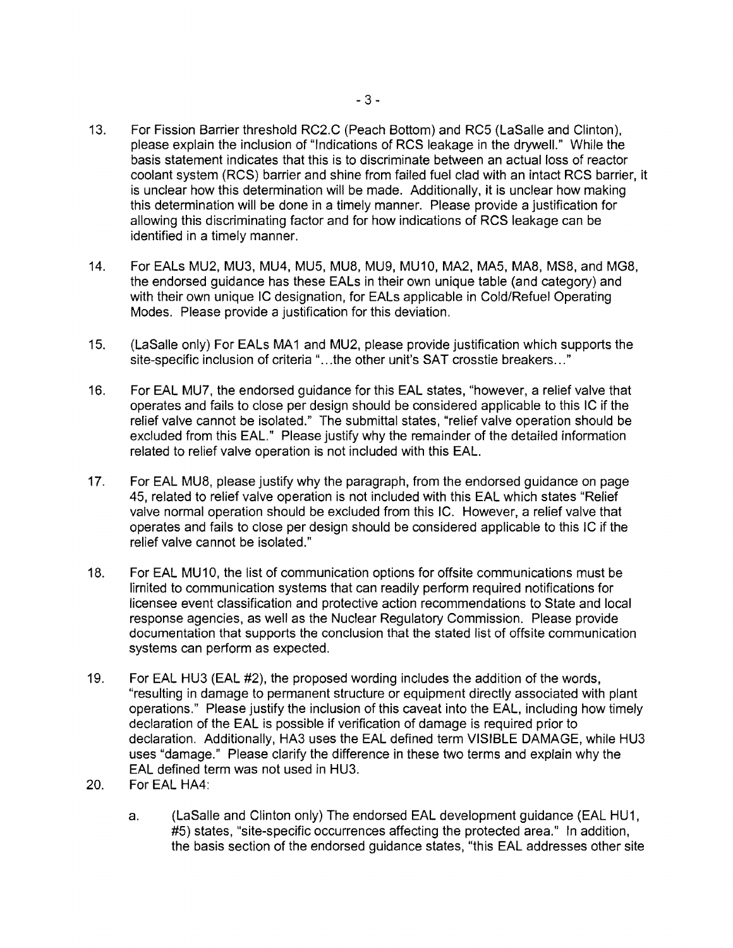- 13. For Fission Barrier threshold RC2.C (Peach Bottom) and RC5 (LaSalle and Clinton), please explain the inclusion of "Indications of RCS leakage in the drywell." While the basis statement indicates that this is to discriminate between an actual loss of reactor coolant system (RCS) barrier and shine from failed fuel clad with an intact RCS barrier, it is unclear how this determination will be made. Additionally, it is unclear how making this determination will be done in a timely manner. Please provide a justification for allowing this discriminating factor and for how indications of RCS leakage can be identified in a timely manner.
- 14. For EALs MU2, MU3, MU4, MU5, MU8, MU9, MU10, MA2, MA5, MA8, MS8, and MG8, the endorsed guidance has these EALs in their own unique table (and category) and with their own unique IC designation, for EALs applicable in Cold/Refuel Operating Modes. Please provide a justification for this deviation.
- 15. (LaSalle only) For EALs MA1 and MU2, please provide justification which supports the site-specific inclusion of criteria "...the other unit's SAT crosstie breakers..."
- 16. For EAL MU7, the endorsed guidance for this EAL states, "however, a relief valve that operates and fails to close per design should be considered applicable to this IC if the relief valve cannot be isolated." The submittal states, "relief valve operation should be excluded from this EAL." Please justify why the remainder of the detailed information related to relief valve operation is not included with this EAL.
- 17. For EAL MU8, please justify why the paragraph, from the endorsed guidance on page 45, related to relief valve operation is not included with this EAL which states "Relief valve normal operation should be excluded from this IC. However, a relief valve that operates and fails to close per design should be considered applicable to this IC if the relief valve cannot be isolated."
- 18. For EAL MU10, the list of communication options for offsite communications must be lirnited to communication systems that can readily perform required notifications for licensee event classification and protective action recommendations to State and local response agencies, as well as the Nuclear Regulatory Commission. Please provide documentation that supports the conclusion that the stated list of offsite communication systems can perform as expected.
- 19. For EAL HU3 (EAL #2), the proposed wording includes the addition of the words, "resulting in damage to permanent structure or equipment directly associated with plant operations." Please justify the inclusion of this caveat into the EAL, including how timely declaration of the EAL is possible if verification of damage is required prior to declaration. Additionally, HA3 uses the EAL defined term VISIBLE DAMAGE, while HU3 uses "damage." Please clarify the difference in these two terms and explain why the EAL defined term was not used in HU3.
- 20. For EAL HA4:
	- a. (LaSalle and Clinton only) The endorsed EAL development guidance (EAL HU1, #5) states, "site-specific occurrences affecting the protected area." In addition, the basis section of the endorsed guidance states, "this EAL addresses other site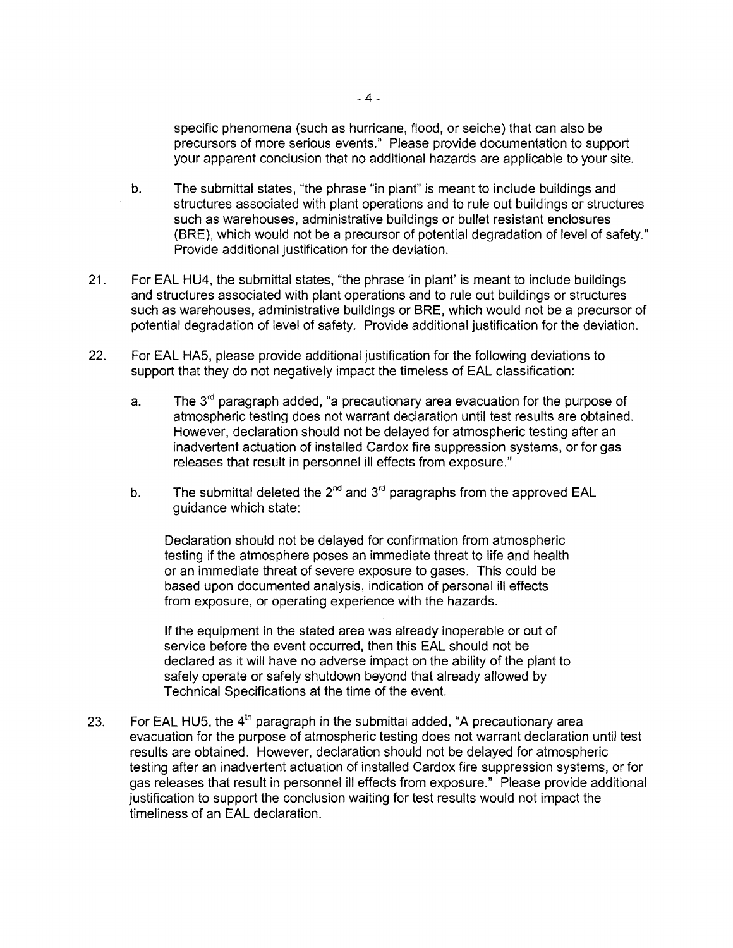specific phenomena (such as hurricane, flood, or seiche) that can also be precursors of more serious events." Please provide documentation to support your apparent conclusion that no additional hazards are applicable to your site.

- b. The submittal states, "the phrase "in plant" is meant to include buildings and structures associated with plant operations and to rule out buildings or structures such as warehouses, administrative buildings or bullet resistant enclosures (BRE), which would not be a precursor of potential degradation of level of safety." Provide additional justification for the deviation.
- 21. For EAL HU4, the submittal states, "the phrase 'in plant' is meant to include buildings and structures associated with plant operations and to rule out buildings or structures such as warehouses, administrative buildings or BRE, which would not be a precursor of potential degradation of level of safety. Provide additional justification for the deviation.
- 22. For EAL HA5, please provide additional justification for the following deviations to support that they do not negatively impact the timeless of EAL classification:
	- a. The  $3<sup>rd</sup>$  paragraph added, "a precautionary area evacuation for the purpose of atmospheric testing does not warrant declaration until test results are obtained. However, declaration should not be delayed for atmospheric testing after an inadvertent actuation of installed Cardox fire suppression systems, or for gas releases that result in personnel ill effects from exposure."
	- b. The submittal deleted the  $2^{nd}$  and  $3^{rd}$  paragraphs from the approved EAL guidance which state:

Declaration should not be delayed for confirmation from atmospheric testing if the atmosphere poses an immediate threat to life and health or an immediate threat of severe exposure to gases. This could be based upon documented analysis, indication of personal ill effects from exposure, or operating experience with the hazards.

If the equipment in the stated area was already inoperable or out of service before the event occurred, then this EAL should not be declared as it will have no adverse impact on the ability of the plant to safely operate or safely shutdown beyond that already allowed by Technical Specifications at the time of the event.

23. For EAL HU5, the  $4<sup>th</sup>$  paragraph in the submittal added, "A precautionary area evacuation for the purpose of atmospheric testing does not warrant declaration until test results are obtained. However, declaration should not be delayed for atmospheric testing after an inadvertent actuation of installed Cardox fire suppression systems, or for gas releases that result in personnel ill effects from exposure." Please provide additional justification to support the conclusion waiting for test results would not impact the timeliness of an EAL declaration.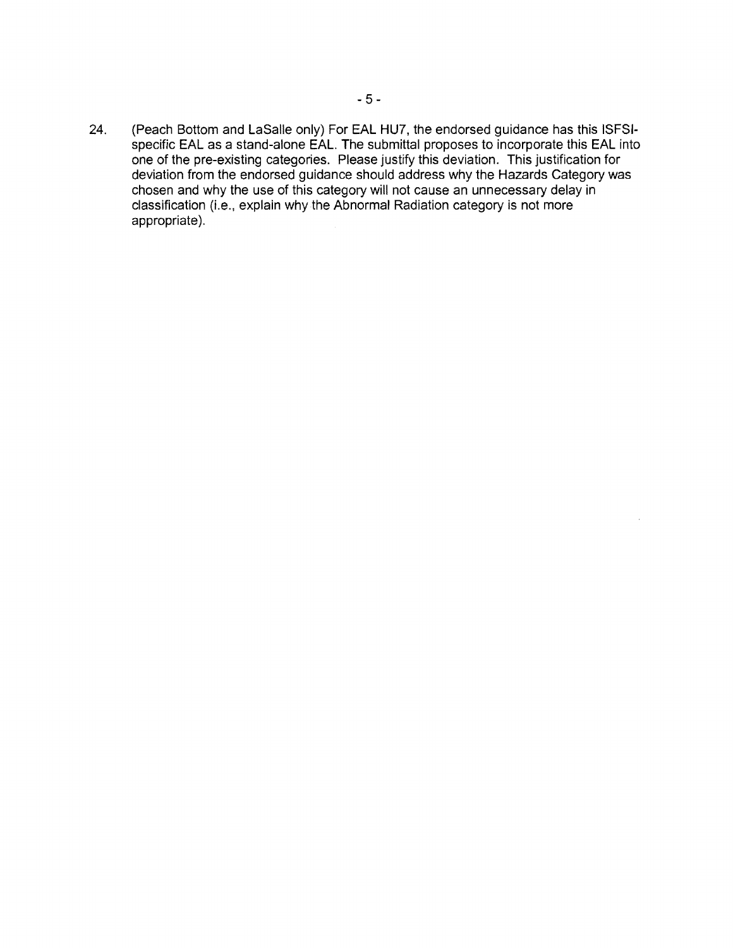24. (Peach Bottom and LaSalle only) For EAL HU7, the endorsed guidance has this ISFSIspecific EAL as a stand-alone EAL. The submittal proposes to incorporate this EAL into one of the pre-existing categories. Please justify this deviation. This justification for deviation from the endorsed guidance should address why the Hazards Category was chosen and why the use of this category will not cause an unnecessary delay in classification (i.e., explain why the Abnormal Radiation category is not more appropriate).